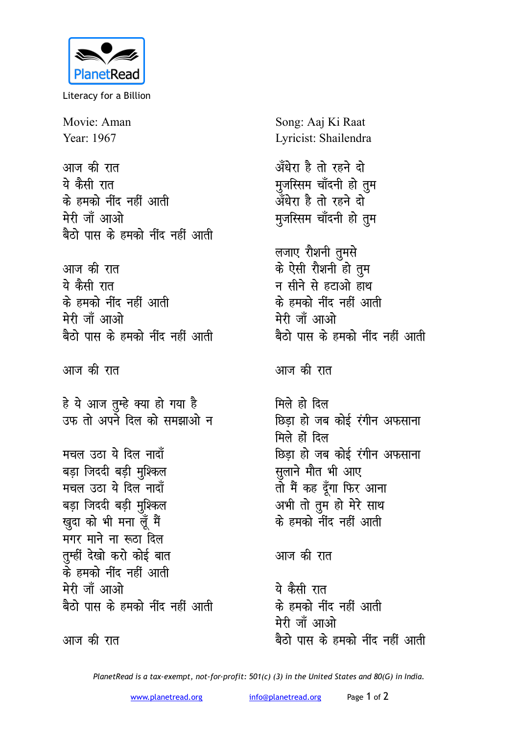

Literacy for a Billion

Movie: Aman Year: 1967

आज की रात ये कैसी रात के हमको नींद नहीं आती मेरी जाँ आओ बैठो पास के हमको नींद नहीं आती

आज की रात ये कैसी रात के हमको नींद नहीं आती मेरी जाँ आओ बैठो पास के हमको नींद नहीं आती

आज की रात

हे ये आज तुम्हे क्या हो गया है<br>उफ तो अपने दिल को समझाओ न

मचल उठा ये दिल नादाँ बड़ा जिददी बड़ी मुश्किल मचल उठा ये दिल नादाँ बड़ा जिददी बड़ी मुश्किल खुदा को भी मना लूँ मैं मगर माने ना रूठा दिल तुम्हीं देखो करो कोई बात के हमको नींद नहीं आती मेरी जाँ आओ बैठो पास के हमको नींद नहीं आती

आज की रात

Song: Aaj Ki Raat Lyricist: Shailendra अँधेरा है तो रहने दो मुजस्सिम चाँदनी हो तुम अँधेरा है तो रहने दो मुजस्सिम चाँदनी हो तुम लजाए रौशनी तुमसे के ऐसी रौशनी हो तुम न सीने से हटाओ हाथ के हमको नींद नहीं आती मेरी जाँ आओ बैठो पास के हमको नींद नहीं आती आज की रात मिले हो दिल छिडा हो जब कोई रंगीन अफसाना मिले हों दिल छिडा हो जब कोई रंगीन अफसाना सूलाने मौत भी आए तो मैं कह दूँगा फिर आना अभी तो तुम हो मेरे साथ के हमको नींद नहीं आती आज की रात

ये कैसी रात के हमको नींद नहीं आती मेरी जाँ आओ बैठो पास के हमको नींद नहीं आती

PlanetRead is a tax-exempt, not-for-profit: 501(c) (3) in the United States and 80(G) in India.